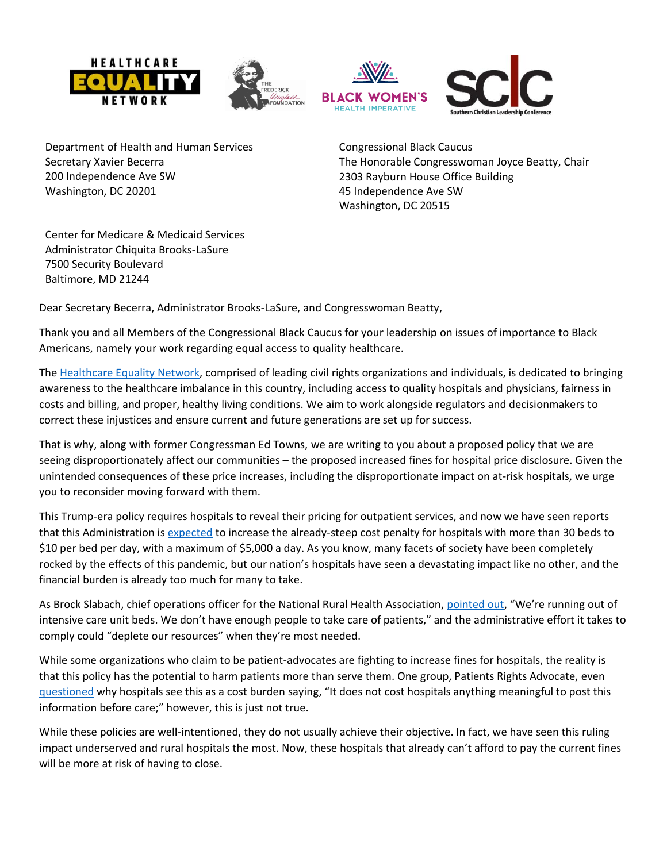





Department of Health and Human Services Secretary Xavier Becerra 200 Independence Ave SW Washington, DC 20201

Congressional Black Caucus The Honorable Congresswoman Joyce Beatty, Chair 2303 Rayburn House Office Building 45 Independence Ave SW Washington, DC 20515

Center for Medicare & Medicaid Services Administrator Chiquita Brooks-LaSure 7500 Security Boulevard Baltimore, MD 21244

Dear Secretary Becerra, Administrator Brooks-LaSure, and Congresswoman Beatty,

Thank you and all Members of the Congressional Black Caucus for your leadership on issues of importance to Black Americans, namely your work regarding equal access to quality healthcare.

The [Healthcare Equality Network,](https://www.healthcareequalitynetwork.com/) comprised of leading civil rights organizations and individuals, is dedicated to bringing awareness to the healthcare imbalance in this country, including access to quality hospitals and physicians, fairness in costs and billing, and proper, healthy living conditions. We aim to work alongside regulators and decisionmakers to correct these injustices and ensure current and future generations are set up for success.

That is why, along with former Congressman Ed Towns, we are writing to you about a proposed policy that we are seeing disproportionately affect our communities – the proposed increased fines for hospital price disclosure. Given the unintended consequences of these price increases, including the disproportionate impact on at-risk hospitals, we urge you to reconsider moving forward with them.

This Trump-era policy requires hospitals to reveal their pricing for outpatient services, and now we have seen reports that this Administration is [expected](https://news.bloomberglaw.com/health-law-and-business/price-transparency-rules-pose-extra-burden-for-rural-hospitals) to increase the already-steep cost penalty for hospitals with more than 30 beds to \$10 per bed per day, with a maximum of \$5,000 a day. As you know, many facets of society have been completely rocked by the effects of this pandemic, but our nation's hospitals have seen a devastating impact like no other, and the financial burden is already too much for many to take.

As Brock Slabach, chief operations officer for the National Rural Health Association, [pointed out,](https://news.bloomberglaw.com/health-law-and-business/price-transparency-rules-pose-extra-burden-for-rural-hospitals) "We're running out of intensive care unit beds. We don't have enough people to take care of patients," and the administrative effort it takes to comply could "deplete our resources" when they're most needed.

While some organizations who claim to be patient-advocates are fighting to increase fines for hospitals, the reality is that this policy has the potential to harm patients more than serve them. One group, Patients Rights Advocate, even [questioned](https://news.bloomberglaw.com/health-law-and-business/price-transparency-rules-pose-extra-burden-for-rural-hospitals) why hospitals see this as a cost burden saying, "It does not cost hospitals anything meaningful to post this information before care;" however, this is just not true.

While these policies are well-intentioned, they do not usually achieve their objective. In fact, we have seen this ruling impact underserved and rural hospitals the most. Now, these hospitals that already can't afford to pay the current fines will be more at risk of having to close.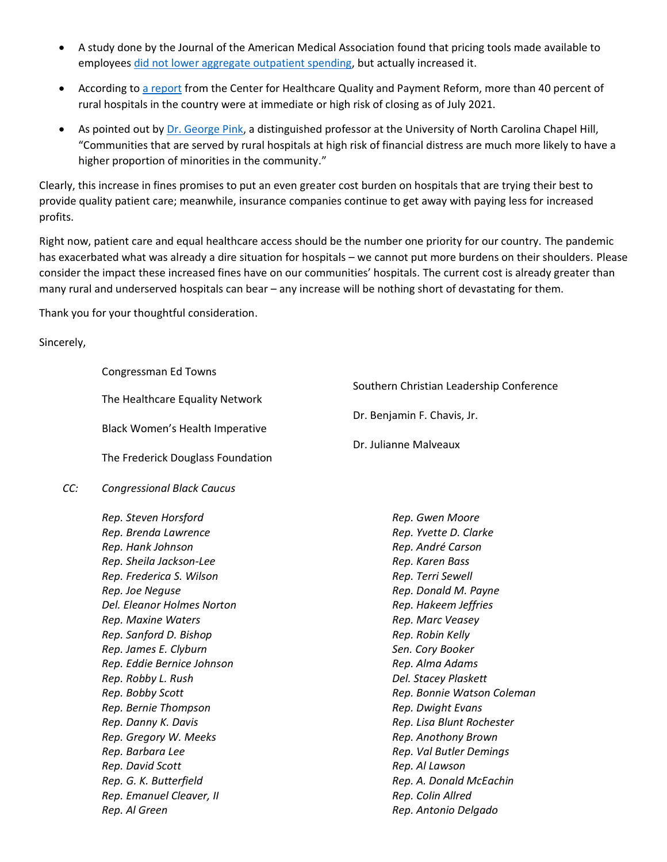- A study done by the Journal of the American Medical Association found that pricing tools made available to employees [did not lower aggregate outpatient spending,](https://jamanetwork.com/journals/jama/fullarticle/2518264) but actually increased it.
- According to [a report](https://ruralhospitals.chqpr.org/downloads/Rural_Hospitals_at_Risk_of_Closing.pdf) from the Center for Healthcare Quality and Payment Reform, more than 40 percent of rural hospitals in the country were at immediate or high risk of closing as of July 2021.
- As pointed out by [Dr. George Pink,](https://dailyyonder.com/rural-hospital-closures-hit-poor-minority-communities-hardest/2017/10/25/) a distinguished professor at the University of North Carolina Chapel Hill, "Communities that are served by rural hospitals at high risk of financial distress are much more likely to have a higher proportion of minorities in the community."

Clearly, this increase in fines promises to put an even greater cost burden on hospitals that are trying their best to provide quality patient care; meanwhile, insurance companies continue to get away with paying less for increased profits.

Right now, patient care and equal healthcare access should be the number one priority for our country. The pandemic has exacerbated what was already a dire situation for hospitals – we cannot put more burdens on their shoulders. Please consider the impact these increased fines have on our communities' hospitals. The current cost is already greater than many rural and underserved hospitals can bear – any increase will be nothing short of devastating for them.

Thank you for your thoughtful consideration.

Sincerely,

|     | Congressman Ed Towns              |                                          |
|-----|-----------------------------------|------------------------------------------|
|     | The Healthcare Equality Network   | Southern Christian Leadership Conference |
|     |                                   | Dr. Benjamin F. Chavis, Jr.              |
|     | Black Women's Health Imperative   |                                          |
|     | The Frederick Douglass Foundation | Dr. Julianne Malveaux                    |
| CC: | <b>Congressional Black Caucus</b> |                                          |
|     | Rep. Steven Horsford              | Rep. Gwen Moore                          |
|     | Rep. Brenda Lawrence              | Rep. Yvette D. Clarke                    |
|     | Rep. Hank Johnson                 | Rep. André Carson                        |
|     | Rep. Sheila Jackson-Lee           | Rep. Karen Bass                          |
|     | Rep. Frederica S. Wilson          | Rep. Terri Sewell                        |
|     | Rep. Joe Neguse                   | Rep. Donald M. Payne                     |
|     | Del. Eleanor Holmes Norton        | Rep. Hakeem Jeffries                     |
|     | Rep. Maxine Waters                | Rep. Marc Veasey                         |
|     | Rep. Sanford D. Bishop            | Rep. Robin Kelly                         |
|     | Rep. James E. Clyburn             | Sen. Cory Booker                         |
|     | Rep. Eddie Bernice Johnson        | Rep. Alma Adams                          |
|     | Rep. Robby L. Rush                | Del. Stacey Plaskett                     |
|     | Rep. Bobby Scott                  | Rep. Bonnie Watson Coleman               |
|     | Rep. Bernie Thompson              | Rep. Dwight Evans                        |
|     | Rep. Danny K. Davis               | Rep. Lisa Blunt Rochester                |
|     | Rep. Gregory W. Meeks             | Rep. Anothony Brown                      |
|     | Rep. Barbara Lee                  | Rep. Val Butler Demings                  |
|     | Rep. David Scott                  | Rep. Al Lawson                           |
|     | Rep. G. K. Butterfield            | Rep. A. Donald McEachin                  |
|     | Rep. Emanuel Cleaver, II          | Rep. Colin Allred                        |
|     | Rep. Al Green                     | Rep. Antonio Delgado                     |